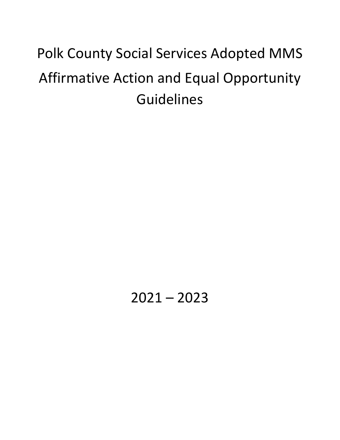# Polk County Social Services Adopted MMS Affirmative Action and Equal Opportunity Guidelines

 $2021 - 2023$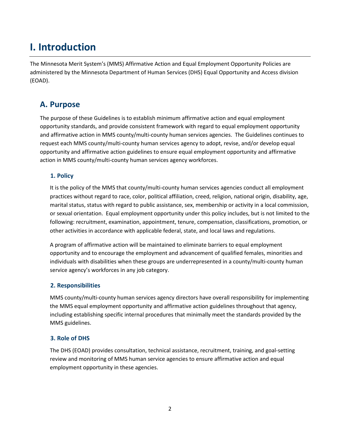## **I. Introduction**

The Minnesota Merit System's (MMS) Affirmative Action and Equal Employment Opportunity Policies are administered by the Minnesota Department of Human Services (DHS) Equal Opportunity and Access division (EOAD).

## **A. Purpose**

The purpose of these Guidelines is to establish minimum affirmative action and equal employment opportunity standards, and provide consistent framework with regard to equal employment opportunity and affirmative action in MMS county/multi-county human services agencies. The Guidelines continues to request each MMS county/multi-county human services agency to adopt, revise, and/or develop equal opportunity and affirmative action guidelines to ensure equal employment opportunity and affirmative action in MMS county/multi-county human services agency workforces.

#### **1. Policy**

It is the policy of the MMS that county/multi-county human services agencies conduct all employment practices without regard to race, color, political affiliation, creed, religion, national origin, disability, age, marital status, status with regard to public assistance, sex, membership or activity in a local commission, or sexual orientation. Equal employment opportunity under this policy includes, but is not limited to the following: recruitment, examination, appointment, tenure, compensation, classifications, promotion, or other activities in accordance with applicable federal, state, and local laws and regulations.

A program of affirmative action will be maintained to eliminate barriers to equal employment opportunity and to encourage the employment and advancement of qualified females, minorities and individuals with disabilities when these groups are underrepresented in a county/multi-county human service agency's workforces in any job category.

#### **2. Responsibilities**

MMS county/multi-county human services agency directors have overall responsibility for implementing the MMS equal employment opportunity and affirmative action guidelines throughout that agency, including establishing specific internal procedures that minimally meet the standards provided by the MMS guidelines.

#### **3. Role of DHS**

The DHS (EOAD) provides consultation, technical assistance, recruitment, training, and goal-setting review and monitoring of MMS human service agencies to ensure affirmative action and equal employment opportunity in these agencies.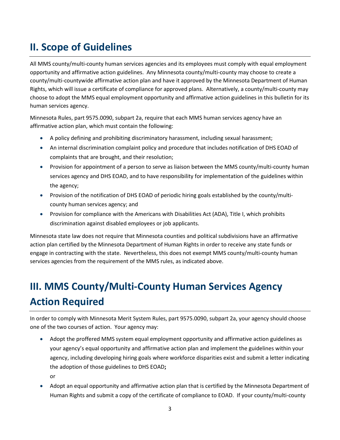## **II. Scope of Guidelines**

All MMS county/multi-county human services agencies and its employees must comply with equal employment opportunity and affirmative action guidelines. Any Minnesota county/multi-county may choose to create a county/multi-countywide affirmative action plan and have it approved by the Minnesota Department of Human Rights, which will issue a certificate of compliance for approved plans. Alternatively, a county/multi-county may choose to adopt the MMS equal employment opportunity and affirmative action guidelines in this bulletin for its human services agency.

Minnesota Rules, part 9575.0090, subpart 2a, require that each MMS human services agency have an affirmative action plan, which must contain the following:

- A policy defining and prohibiting discriminatory harassment, including sexual harassment;
- An internal discrimination complaint policy and procedure that includes notification of DHS EOAD of complaints that are brought, and their resolution;
- Provision for appointment of a person to serve as liaison between the MMS county/multi-county human services agency and DHS EOAD, and to have responsibility for implementation of the guidelines within the agency;
- Provision of the notification of DHS EOAD of periodic hiring goals established by the county/multicounty human services agency; and
- Provision for compliance with the Americans with Disabilities Act (ADA), Title I, which prohibits discrimination against disabled employees or job applicants.

Minnesota state law does not require that Minnesota counties and political subdivisions have an affirmative action plan certified by the Minnesota Department of Human Rights in order to receive any state funds or engage in contracting with the state. Nevertheless, this does not exempt MMS county/multi-county human services agencies from the requirement of the MMS rules, as indicated above.

## **III. MMS County/Multi-County Human Services Agency Action Required**

In order to comply with Minnesota Merit System Rules, part 9575.0090, subpart 2a, your agency should choose one of the two courses of action. Your agency may:

- Adopt the proffered MMS system equal employment opportunity and affirmative action guidelines as your agency's equal opportunity and affirmative action plan and implement the guidelines within your agency, including developing hiring goals where workforce disparities exist and submit a letter indicating the adoption of those guidelines to DHS EOAD**;** or
- Adopt an equal opportunity and affirmative action plan that is certified by the Minnesota Department of Human Rights and submit a copy of the certificate of compliance to EOAD. If your county/multi-county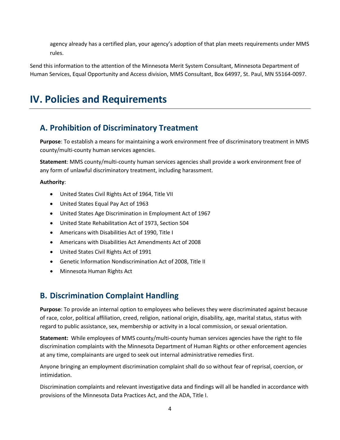agency already has a certified plan, your agency's adoption of that plan meets requirements under MMS rules.

Send this information to the attention of the Minnesota Merit System Consultant, Minnesota Department of Human Services, Equal Opportunity and Access division, MMS Consultant, Box 64997, St. Paul, MN 55164-0097.

## **IV. Policies and Requirements**

## **A. Prohibition of Discriminatory Treatment**

**Purpose**: To establish a means for maintaining a work environment free of discriminatory treatment in MMS county/multi-county human services agencies.

**Statement**: MMS county/multi-county human services agencies shall provide a work environment free of any form of unlawful discriminatory treatment, including harassment.

#### **Authority**:

- United States Civil Rights Act of 1964, Title VII
- United States Equal Pay Act of 1963
- United States Age Discrimination in Employment Act of 1967
- United State Rehabilitation Act of 1973, Section 504
- Americans with Disabilities Act of 1990, Title I
- Americans with Disabilities Act Amendments Act of 2008
- United States Civil Rights Act of 1991
- Genetic Information Nondiscrimination Act of 2008, Title II
- Minnesota Human Rights Act

## **B. Discrimination Complaint Handling**

**Purpose**: To provide an internal option to employees who believes they were discriminated against because of race, color, political affiliation, creed, religion, national origin, disability, age, marital status, status with regard to public assistance, sex, membership or activity in a local commission, or sexual orientation.

**Statement:** While employees of MMS county/multi-county human services agencies have the right to file discrimination complaints with the Minnesota Department of Human Rights or other enforcement agencies at any time, complainants are urged to seek out internal administrative remedies first.

Anyone bringing an employment discrimination complaint shall do so without fear of reprisal, coercion, or intimidation.

Discrimination complaints and relevant investigative data and findings will all be handled in accordance with provisions of the Minnesota Data Practices Act, and the ADA, Title I.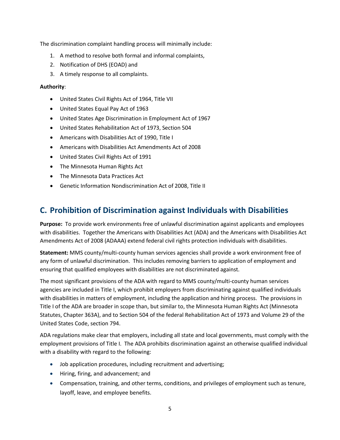The discrimination complaint handling process will minimally include:

- 1. A method to resolve both formal and informal complaints,
- 2. Notification of DHS (EOAD) and
- 3. A timely response to all complaints.

#### **Authority**:

- United States Civil Rights Act of 1964, Title VII
- United States Equal Pay Act of 1963
- United States Age Discrimination in Employment Act of 1967
- United States Rehabilitation Act of 1973, Section 504
- Americans with Disabilities Act of 1990, Title I
- Americans with Disabilities Act Amendments Act of 2008
- United States Civil Rights Act of 1991
- The Minnesota Human Rights Act
- The Minnesota Data Practices Act
- Genetic Information Nondiscrimination Act of 2008, Title II

## **C. Prohibition of Discrimination against Individuals with Disabilities**

**Purpose:** To provide work environments free of unlawful discrimination against applicants and employees with disabilities. Together the Americans with Disabilities Act (ADA) and the Americans with Disabilities Act Amendments Act of 2008 (ADAAA) extend federal civil rights protection individuals with disabilities.

**Statement:** MMS county/multi-county human services agencies shall provide a work environment free of any form of unlawful discrimination. This includes removing barriers to application of employment and ensuring that qualified employees with disabilities are not discriminated against.

The most significant provisions of the ADA with regard to MMS county/multi-county human services agencies are included in Title I, which prohibit employers from discriminating against qualified individuals with disabilities in matters of employment, including the application and hiring process. The provisions in Title I of the ADA are broader in scope than, but similar to, the Minnesota Human Rights Act (Minnesota Statutes, Chapter 363A), and to Section 504 of the federal Rehabilitation Act of 1973 and Volume 29 of the United States Code, section 794.

ADA regulations make clear that employers, including all state and local governments, must comply with the employment provisions of Title I. The ADA prohibits discrimination against an otherwise qualified individual with a disability with regard to the following:

- Job application procedures, including recruitment and advertising;
- Hiring, firing, and advancement; and
- Compensation, training, and other terms, conditions, and privileges of employment such as tenure, layoff, leave, and employee benefits.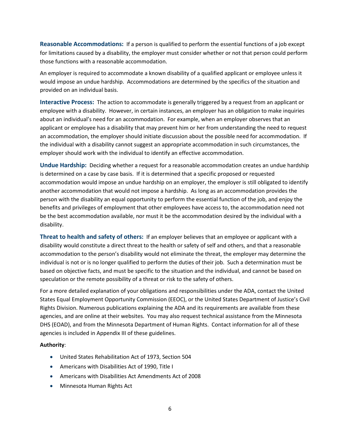**Reasonable Accommodations:** If a person is qualified to perform the essential functions of a job except for limitations caused by a disability, the employer must consider whether or not that person could perform those functions with a reasonable accommodation.

An employer is required to accommodate a known disability of a qualified applicant or employee unless it would impose an undue hardship. Accommodations are determined by the specifics of the situation and provided on an individual basis.

**Interactive Process:** The action to accommodate is generally triggered by a request from an applicant or employee with a disability. However, in certain instances, an employer has an obligation to make inquiries about an individual's need for an accommodation. For example, when an employer observes that an applicant or employee has a disability that may prevent him or her from understanding the need to request an accommodation, the employer should initiate discussion about the possible need for accommodation. If the individual with a disability cannot suggest an appropriate accommodation in such circumstances, the employer should work with the individual to identify an effective accommodation.

**Undue Hardship:** Deciding whether a request for a reasonable accommodation creates an undue hardship is determined on a case by case basis. If it is determined that a specific proposed or requested accommodation would impose an undue hardship on an employer, the employer is still obligated to identify another accommodation that would not impose a hardship. As long as an accommodation provides the person with the disability an equal opportunity to perform the essential function of the job, and enjoy the benefits and privileges of employment that other employees have access to, the accommodation need not be the best accommodation available, nor must it be the accommodation desired by the individual with a disability.

**Threat to health and safety of others:** If an employer believes that an employee or applicant with a disability would constitute a direct threat to the health or safety of self and others, and that a reasonable accommodation to the person's disability would not eliminate the threat, the employer may determine the individual is not or is no longer qualified to perform the duties of their job. Such a determination must be based on objective facts, and must be specific to the situation and the individual, and cannot be based on speculation or the remote possibility of a threat or risk to the safety of others.

For a more detailed explanation of your obligations and responsibilities under the ADA, contact the United States Equal Employment Opportunity Commission (EEOC), or the United States Department of Justice's Civil Rights Division. Numerous publications explaining the ADA and its requirements are available from these agencies, and are online at their websites. You may also request technical assistance from the Minnesota DHS (EOAD), and from the Minnesota Department of Human Rights. Contact information for all of these agencies is included in Appendix III of these guidelines.

#### **Authority**:

- United States Rehabilitation Act of 1973, Section 504
- Americans with Disabilities Act of 1990, Title I
- Americans with Disabilities Act Amendments Act of 2008
- Minnesota Human Rights Act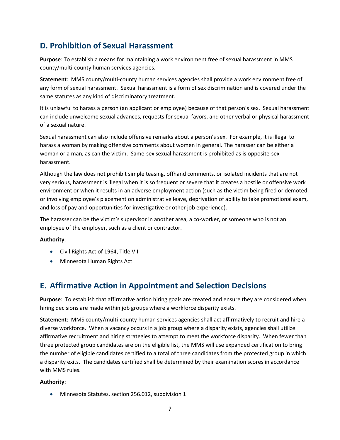## **D. Prohibition of Sexual Harassment**

**Purpose**: To establish a means for maintaining a work environment free of sexual harassment in MMS county/multi-county human services agencies.

**Statement**: MMS county/multi-county human services agencies shall provide a work environment free of any form of sexual harassment. Sexual harassment is a form of sex discrimination and is covered under the same statutes as any kind of discriminatory treatment.

It is unlawful to harass a person (an applicant or employee) because of that person's sex. Sexual harassment can include unwelcome sexual advances, requests for sexual favors, and other verbal or physical harassment of a sexual nature.

Sexual harassment can also include offensive remarks about a person's sex. For example, it is illegal to harass a woman by making offensive comments about women in general. The harasser can be either a woman or a man, as can the victim. Same-sex sexual harassment is prohibited as is opposite-sex harassment.

Although the law does not prohibit simple teasing, offhand comments, or isolated incidents that are not very serious, harassment is illegal when it is so frequent or severe that it creates a hostile or offensive work environment or when it results in an adverse employment action (such as the victim being fired or demoted, or involving employee's placement on administrative leave, deprivation of ability to take promotional exam, and loss of pay and opportunities for investigative or other job experience).

The harasser can be the victim's supervisor in another area, a co-worker, or someone who is not an employee of the employer, such as a client or contractor.

#### **Authority**:

- Civil Rights Act of 1964, Title VII
- Minnesota Human Rights Act

## **E. Affirmative Action in Appointment and Selection Decisions**

**Purpose**: To establish that affirmative action hiring goals are created and ensure they are considered when hiring decisions are made within job groups where a workforce disparity exists.

**Statement**: MMS county/multi-county human services agencies shall act affirmatively to recruit and hire a diverse workforce. When a vacancy occurs in a job group where a disparity exists, agencies shall utilize affirmative recruitment and hiring strategies to attempt to meet the workforce disparity. When fewer than three protected group candidates are on the eligible list, the MMS will use expanded certification to bring the number of eligible candidates certified to a total of three candidates from the protected group in which a disparity exits. The candidates certified shall be determined by their examination scores in accordance with MMS rules.

#### **Authority**:

• Minnesota Statutes, section 256.012, subdivision 1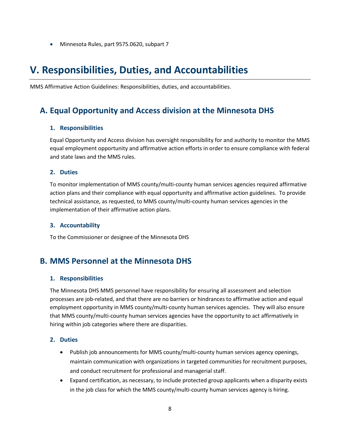• Minnesota Rules, part 9575.0620, subpart 7

## **V. Responsibilities, Duties, and Accountabilities**

MMS Affirmative Action Guidelines: Responsibilities, duties, and accountabilities.

### **A. Equal Opportunity and Access division at the Minnesota DHS**

#### **1. Responsibilities**

Equal Opportunity and Access division has oversight responsibility for and authority to monitor the MMS equal employment opportunity and affirmative action efforts in order to ensure compliance with federal and state laws and the MMS rules.

#### **2. Duties**

To monitor implementation of MMS county/multi-county human services agencies required affirmative action plans and their compliance with equal opportunity and affirmative action guidelines. To provide technical assistance, as requested, to MMS county/multi-county human services agencies in the implementation of their affirmative action plans.

#### **3. Accountability**

To the Commissioner or designee of the Minnesota DHS

### **B. MMS Personnel at the Minnesota DHS**

#### **1. Responsibilities**

The Minnesota DHS MMS personnel have responsibility for ensuring all assessment and selection processes are job-related, and that there are no barriers or hindrances to affirmative action and equal employment opportunity in MMS county/multi-county human services agencies. They will also ensure that MMS county/multi-county human services agencies have the opportunity to act affirmatively in hiring within job categories where there are disparities.

#### **2. Duties**

- Publish job announcements for MMS county/multi-county human services agency openings, maintain communication with organizations in targeted communities for recruitment purposes, and conduct recruitment for professional and managerial staff.
- Expand certification, as necessary, to include protected group applicants when a disparity exists in the job class for which the MMS county/multi-county human services agency is hiring.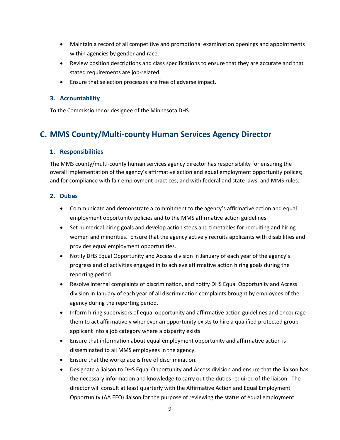- Maintain a record of all competitive and promotional examination openings and appointments within agencies by gender and race.
- Review position descriptions and class specifications to ensure that they are accurate and that stated requirements are job-related.
- Ensure that selection processes are free of adverse impact.

#### **3. Accountability**

To the Commissioner or designee of the Minnesota DHS.

## **C. MMS County/Multi-county Human Services Agency Director**

#### **1. Responsibilities**

The MMS county/multi-county human services agency director has responsibility for ensuring the overall implementation of the agency's affirmative action and equal employment opportunity polices; and for compliance with fair employment practices; and with federal and state laws, and MMS rules.

#### **2. Duties**

- Communicate and demonstrate a commitment to the agency's affirmative action and equal employment opportunity policies and to the MMS affirmative action guidelines.
- Set numerical hiring goals and develop action steps and timetables for recruiting and hiring women and minorities. Ensure that the agency actively recruits applicants with disabilities and provides equal employment opportunities.
- Notify DHS Equal Opportunity and Access division in January of each year of the agency's progress and of activities engaged in to achieve affirmative action hiring goals during the reporting period.
- Resolve internal complaints of discrimination, and notify DHS Equal Opportunity and Access division in January of each year of all discrimination complaints brought by employees of the agency during the reporting period.
- Inform hiring supervisors of equal opportunity and affirmative action guidelines and encourage them to act affirmatively whenever an opportunity exists to hire a qualified protected group applicant into a job category where a disparity exists.
- Ensure that information about equal employment opportunity and affirmative action is disseminated to all MMS employees in the agency.
- Ensure that the workplace is free of discrimination.
- Designate a liaison to DHS Equal Opportunity and Access division and ensure that the liaison has the necessary information and knowledge to carry out the duties required of the liaison. The director will consult at least quarterly with the Affirmative Action and Equal Employment Opportunity (AA EEO) liaison for the purpose of reviewing the status of equal employment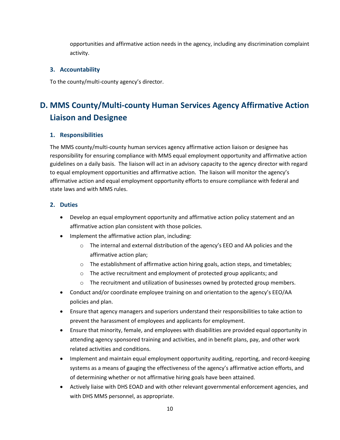opportunities and affirmative action needs in the agency, including any discrimination complaint activity.

#### **3. Accountability**

To the county/multi-county agency's director.

## **D. MMS County/Multi-county Human Services Agency Affirmative Action Liaison and Designee**

#### **1. Responsibilities**

The MMS county/multi-county human services agency affirmative action liaison or designee has responsibility for ensuring compliance with MMS equal employment opportunity and affirmative action guidelines on a daily basis. The liaison will act in an advisory capacity to the agency director with regard to equal employment opportunities and affirmative action. The liaison will monitor the agency's affirmative action and equal employment opportunity efforts to ensure compliance with federal and state laws and with MMS rules.

#### **2. Duties**

- Develop an equal employment opportunity and affirmative action policy statement and an affirmative action plan consistent with those policies.
- Implement the affirmative action plan, including:
	- o The internal and external distribution of the agency's EEO and AA policies and the affirmative action plan;
	- o The establishment of affirmative action hiring goals, action steps, and timetables;
	- o The active recruitment and employment of protected group applicants; and
	- $\circ$  The recruitment and utilization of businesses owned by protected group members.
- Conduct and/or coordinate employee training on and orientation to the agency's EEO/AA policies and plan.
- Ensure that agency managers and superiors understand their responsibilities to take action to prevent the harassment of employees and applicants for employment.
- Ensure that minority, female, and employees with disabilities are provided equal opportunity in attending agency sponsored training and activities, and in benefit plans, pay, and other work related activities and conditions.
- Implement and maintain equal employment opportunity auditing, reporting, and record-keeping systems as a means of gauging the effectiveness of the agency's affirmative action efforts, and of determining whether or not affirmative hiring goals have been attained.
- Actively liaise with DHS EOAD and with other relevant governmental enforcement agencies, and with DHS MMS personnel, as appropriate.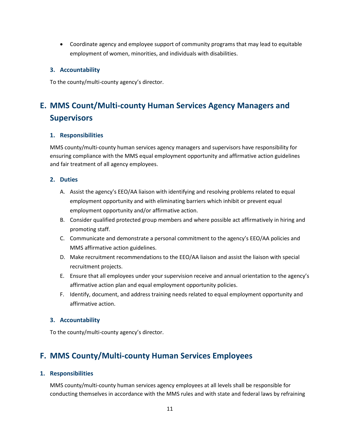• Coordinate agency and employee support of community programs that may lead to equitable employment of women, minorities, and individuals with disabilities.

#### **3. Accountability**

To the county/multi-county agency's director.

## **E. MMS Count/Multi-county Human Services Agency Managers and Supervisors**

#### **1. Responsibilities**

MMS county/multi-county human services agency managers and supervisors have responsibility for ensuring compliance with the MMS equal employment opportunity and affirmative action guidelines and fair treatment of all agency employees.

#### **2. Duties**

- A. Assist the agency's EEO/AA liaison with identifying and resolving problems related to equal employment opportunity and with eliminating barriers which inhibit or prevent equal employment opportunity and/or affirmative action.
- B. Consider qualified protected group members and where possible act affirmatively in hiring and promoting staff.
- C. Communicate and demonstrate a personal commitment to the agency's EEO/AA policies and MMS affirmative action guidelines.
- D. Make recruitment recommendations to the EEO/AA liaison and assist the liaison with special recruitment projects.
- E. Ensure that all employees under your supervision receive and annual orientation to the agency's affirmative action plan and equal employment opportunity policies.
- F. Identify, document, and address training needs related to equal employment opportunity and affirmative action.

#### **3. Accountability**

To the county/multi-county agency's director.

### **F. MMS County/Multi-county Human Services Employees**

#### **1. Responsibilities**

MMS county/multi-county human services agency employees at all levels shall be responsible for conducting themselves in accordance with the MMS rules and with state and federal laws by refraining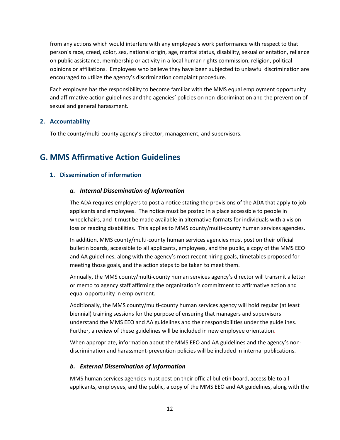from any actions which would interfere with any employee's work performance with respect to that person's race, creed, color, sex, national origin, age, marital status, disability, sexual orientation, reliance on public assistance, membership or activity in a local human rights commission, religion, political opinions or affiliations. Employees who believe they have been subjected to unlawful discrimination are encouraged to utilize the agency's discrimination complaint procedure.

Each employee has the responsibility to become familiar with the MMS equal employment opportunity and affirmative action guidelines and the agencies' policies on non-discrimination and the prevention of sexual and general harassment.

#### **2. Accountability**

To the county/multi-county agency's director, management, and supervisors.

### **G. MMS Affirmative Action Guidelines**

#### **1. Dissemination of information**

#### *a. Internal Dissemination of Information*

The ADA requires employers to post a notice stating the provisions of the ADA that apply to job applicants and employees. The notice must be posted in a place accessible to people in wheelchairs, and it must be made available in alternative formats for individuals with a vision loss or reading disabilities. This applies to MMS county/multi-county human services agencies.

In addition, MMS county/multi-county human services agencies must post on their official bulletin boards, accessible to all applicants, employees, and the public, a copy of the MMS EEO and AA guidelines, along with the agency's most recent hiring goals, timetables proposed for meeting those goals, and the action steps to be taken to meet them.

Annually, the MMS county/multi-county human services agency's director will transmit a letter or memo to agency staff affirming the organization's commitment to affirmative action and equal opportunity in employment.

Additionally, the MMS county/multi-county human services agency will hold regular (at least biennial) training sessions for the purpose of ensuring that managers and supervisors understand the MMS EEO and AA guidelines and their responsibilities under the guidelines. Further, a review of these guidelines will be included in new employee orientation.

When appropriate, information about the MMS EEO and AA guidelines and the agency's nondiscrimination and harassment-prevention policies will be included in internal publications.

#### *b. External Dissemination of Information*

MMS human services agencies must post on their official bulletin board, accessible to all applicants, employees, and the public, a copy of the MMS EEO and AA guidelines, along with the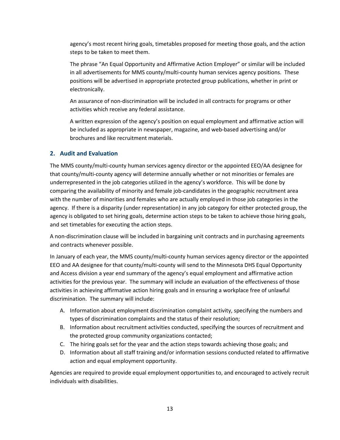agency's most recent hiring goals, timetables proposed for meeting those goals, and the action steps to be taken to meet them.

The phrase "An Equal Opportunity and Affirmative Action Employer" or similar will be included in all advertisements for MMS county/multi-county human services agency positions. These positions will be advertised in appropriate protected group publications, whether in print or electronically.

An assurance of non-discrimination will be included in all contracts for programs or other activities which receive any federal assistance.

A written expression of the agency's position on equal employment and affirmative action will be included as appropriate in newspaper, magazine, and web-based advertising and/or brochures and like recruitment materials.

#### **2. Audit and Evaluation**

The MMS county/multi-county human services agency director or the appointed EEO/AA designee for that county/multi-county agency will determine annually whether or not minorities or females are underrepresented in the job categories utilized in the agency's workforce. This will be done by comparing the availability of minority and female job-candidates in the geographic recruitment area with the number of minorities and females who are actually employed in those job categories in the agency. If there is a disparity (under representation) in any job category for either protected group, the agency is obligated to set hiring goals, determine action steps to be taken to achieve those hiring goals, and set timetables for executing the action steps.

A non-discrimination clause will be included in bargaining unit contracts and in purchasing agreements and contracts whenever possible.

In January of each year, the MMS county/multi-county human services agency director or the appointed EEO and AA designee for that county/multi-county will send to the Minnesota DHS Equal Opportunity and Access division a year end summary of the agency's equal employment and affirmative action activities for the previous year. The summary will include an evaluation of the effectiveness of those activities in achieving affirmative action hiring goals and in ensuring a workplace free of unlawful discrimination. The summary will include:

- A. Information about employment discrimination complaint activity, specifying the numbers and types of discrimination complaints and the status of their resolution;
- B. Information about recruitment activities conducted, specifying the sources of recruitment and the protected group community organizations contacted;
- C. The hiring goals set for the year and the action steps towards achieving those goals; and
- D. Information about all staff training and/or information sessions conducted related to affirmative action and equal employment opportunity.

Agencies are required to provide equal employment opportunities to, and encouraged to actively recruit individuals with disabilities.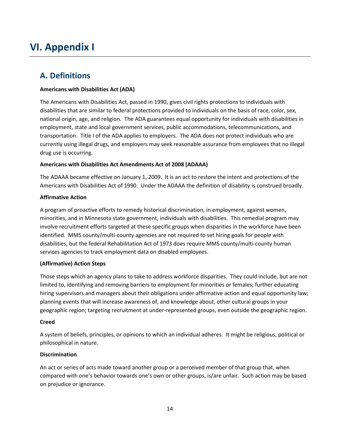## **VI. Appendix I**

## **A. Definitions**

#### **Americans with Disabilities Act (ADA)**

The Americans with Disabilities Act, passed in 1990, gives civil rights protections to individuals with disabilities that are similar to federal protections provided to individuals on the basis of race, color, sex, national origin, age, and religion. The ADA guarantees equal opportunity for individuals with disabilities in employment, state and local government services, public accommodations, telecommunications, and transportation. Title I of the ADA applies to employers. The ADA does not protect individuals who are currently using illegal drugs, and employers may seek reasonable assurance from employees that no illegal drug use is occurring.

#### **Americans with Disabilities Act Amendments Act of 2008 (ADAAA)**

The ADAAA became effective on January 1, 2009. It is an act to restore the intent and protections of the Americans with Disabilities Act of 1990. Under the ADAAA the definition of disability is construed broadly.

#### **Affirmative Action**

A program of proactive efforts to remedy historical discrimination, in employment, against women, minorities, and in Minnesota state government, individuals with disabilities. This remedial program may involve recruitment efforts targeted at these specific groups when disparities in the workforce have been identified. MMS county/multi-county agencies are not required to set hiring goals for people with disabilities, but the federal Rehabilitation Act of 1973 does require MMS county/multi-county human services agencies to track employment data on disabled employees.

#### **(Affirmative) Action Steps**

Those steps which an agency plans to take to address workforce disparities. They could include, but are not limited to, identifying and removing barriers to employment for minorities or females; further educating hiring supervisors and managers about their obligations under affirmative action and equal opportunity law; planning events that will increase awareness of, and knowledge about, other cultural groups in your geographic region; targeting recruitment at under-represented groups, even outside the geographic region.

#### **Creed**

A system of beliefs, principles, or opinions to which an individual adheres. It might be religious, political or philosophical in nature.

#### **Discrimination**

An act or series of acts made toward another group or a perceived member of that group that, when compared with one's behavior towards one's own or other groups, is/are unfair. Such action may be based on prejudice or ignorance.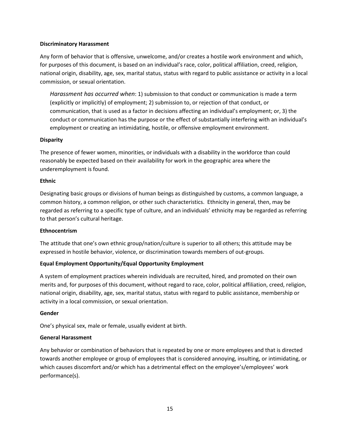#### **Discriminatory Harassment**

Any form of behavior that is offensive, unwelcome, and/or creates a hostile work environment and which, for purposes of this document, is based on an individual's race, color, political affiliation, creed, religion, national origin, disability, age, sex, marital status, status with regard to public assistance or activity in a local commission, or sexual orientation.

*Harassment has occurred when*: 1) submission to that conduct or communication is made a term (explicitly or implicitly) of employment; 2) submission to, or rejection of that conduct, or communication, that is used as a factor in decisions affecting an individual's employment; or, 3) the conduct or communication has the purpose or the effect of substantially interfering with an individual's employment or creating an intimidating, hostile, or offensive employment environment.

#### **Disparity**

The presence of fewer women, minorities, or individuals with a disability in the workforce than could reasonably be expected based on their availability for work in the geographic area where the underemployment is found.

#### **Ethnic**

Designating basic groups or divisions of human beings as distinguished by customs, a common language, a common history, a common religion, or other such characteristics. Ethnicity in general, then, may be regarded as referring to a specific type of culture, and an individuals' ethnicity may be regarded as referring to that person's cultural heritage.

#### **Ethnocentrism**

The attitude that one's own ethnic group/nation/culture is superior to all others; this attitude may be expressed in hostile behavior, violence, or discrimination towards members of out-groups.

#### **Equal Employment Opportunity/Equal Opportunity Employment**

A system of employment practices wherein individuals are recruited, hired, and promoted on their own merits and, for purposes of this document, without regard to race, color, political affiliation, creed, religion, national origin, disability, age, sex, marital status, status with regard to public assistance, membership or activity in a local commission, or sexual orientation.

#### **Gender**

One's physical sex, male or female, usually evident at birth.

#### **General Harassment**

Any behavior or combination of behaviors that is repeated by one or more employees and that is directed towards another employee or group of employees that is considered annoying, insulting, or intimidating, or which causes discomfort and/or which has a detrimental effect on the employee's/employees' work performance(s).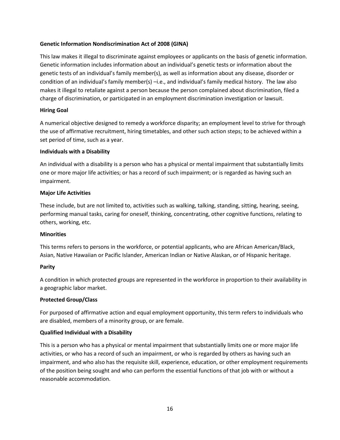#### **Genetic Information Nondiscrimination Act of 2008 (GINA)**

This law makes it illegal to discriminate against employees or applicants on the basis of genetic information. Genetic information includes information about an individual's genetic tests or information about the genetic tests of an individual's family member(s), as well as information about any disease, disorder or condition of an individual's family member(s) –i.e., and individual's family medical history. The law also makes it illegal to retaliate against a person because the person complained about discrimination, filed a charge of discrimination, or participated in an employment discrimination investigation or lawsuit.

#### **Hiring Goal**

A numerical objective designed to remedy a workforce disparity; an employment level to strive for through the use of affirmative recruitment, hiring timetables, and other such action steps; to be achieved within a set period of time, such as a year.

#### **Individuals with a Disability**

An individual with a disability is a person who has a physical or mental impairment that substantially limits one or more major life activities; or has a record of such impairment; or is regarded as having such an impairment.

#### **Major Life Activities**

These include, but are not limited to, activities such as walking, talking, standing, sitting, hearing, seeing, performing manual tasks, caring for oneself, thinking, concentrating, other cognitive functions, relating to others, working, etc.

#### **Minorities**

This terms refers to persons in the workforce, or potential applicants, who are African American/Black, Asian, Native Hawaiian or Pacific Islander, American Indian or Native Alaskan, or of Hispanic heritage.

#### **Parity**

A condition in which protected groups are represented in the workforce in proportion to their availability in a geographic labor market.

#### **Protected Group/Class**

For purposed of affirmative action and equal employment opportunity, this term refers to individuals who are disabled, members of a minority group, or are female.

#### **Qualified Individual with a Disability**

This is a person who has a physical or mental impairment that substantially limits one or more major life activities, or who has a record of such an impairment, or who is regarded by others as having such an impairment, and who also has the requisite skill, experience, education, or other employment requirements of the position being sought and who can perform the essential functions of that job with or without a reasonable accommodation.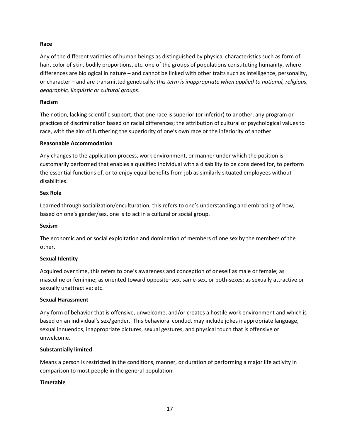#### **Race**

Any of the different varieties of human beings as distinguished by physical characteristics such as form of hair, color of skin, bodily proportions, etc. one of the groups of populations constituting humanity, where differences are biological in nature – and cannot be linked with other traits such as intelligence, personality, or character – and are transmitted genetically; *this term is inappropriate when applied to national, religious, geographic, linguistic or cultural groups*.

#### **Racism**

The notion, lacking scientific support, that one race is superior (or inferior) to another; any program or practices of discrimination based on racial differences; the attribution of cultural or psychological values to race, with the aim of furthering the superiority of one's own race or the inferiority of another.

#### **Reasonable Accommodation**

Any changes to the application process, work environment, or manner under which the position is customarily performed that enables a qualified individual with a disability to be considered for, to perform the essential functions of, or to enjoy equal benefits from job as similarly situated employees without disabilities.

#### **Sex Role**

Learned through socialization/enculturation, this refers to one's understanding and embracing of how, based on one's gender/sex, one is to act in a cultural or social group.

#### **Sexism**

The economic and or social exploitation and domination of members of one sex by the members of the other.

#### **Sexual Identity**

Acquired over time, this refers to one's awareness and conception of oneself as male or female; as masculine or feminine; as oriented toward opposite–sex, same-sex, or both-sexes; as sexually attractive or sexually unattractive; etc.

#### **Sexual Harassment**

Any form of behavior that is offensive, unwelcome, and/or creates a hostile work environment and which is based on an individual's sex/gender. This behavioral conduct may include jokes inappropriate language, sexual innuendos, inappropriate pictures, sexual gestures, and physical touch that is offensive or unwelcome.

#### **Substantially limited**

Means a person is restricted in the conditions, manner, or duration of performing a major life activity in comparison to most people in the general population.

#### **Timetable**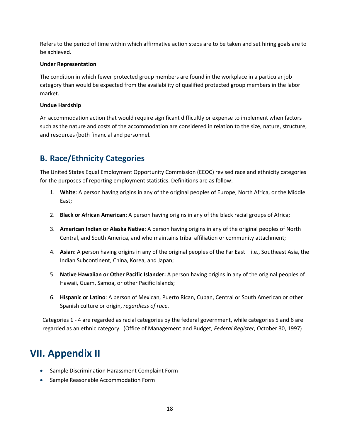Refers to the period of time within which affirmative action steps are to be taken and set hiring goals are to be achieved.

#### **Under Representation**

The condition in which fewer protected group members are found in the workplace in a particular job category than would be expected from the availability of qualified protected group members in the labor market.

#### **Undue Hardship**

An accommodation action that would require significant difficultly or expense to implement when factors such as the nature and costs of the accommodation are considered in relation to the size, nature, structure, and resources (both financial and personnel.

## **B. Race/Ethnicity Categories**

The United States Equal Employment Opportunity Commission (EEOC) revised race and ethnicity categories for the purposes of reporting employment statistics. Definitions are as follow:

- 1. **White**: A person having origins in any of the original peoples of Europe, North Africa, or the Middle East;
- 2. **Black or African American**: A person having origins in any of the black racial groups of Africa;
- 3. **American Indian or Alaska Native**: A person having origins in any of the original peoples of North Central, and South America, and who maintains tribal affiliation or community attachment;
- 4. **Asian**: A person having origins in any of the original peoples of the Far East i.e., Southeast Asia, the Indian Subcontinent, China, Korea, and Japan;
- 5. **Native Hawaiian or Other Pacific Islander:** A person having origins in any of the original peoples of Hawaii, Guam, Samoa, or other Pacific Islands;
- 6. **Hispanic or Latino**: A person of Mexican, Puerto Rican, Cuban, Central or South American or other Spanish culture or origin, *regardless of race*.

Categories 1 - 4 are regarded as racial categories by the federal government, while categories 5 and 6 are regarded as an ethnic category. (Office of Management and Budget, *Federal Register*, October 30, 1997)

## **VII. Appendix II**

- Sample Discrimination Harassment Complaint Form
- Sample Reasonable Accommodation Form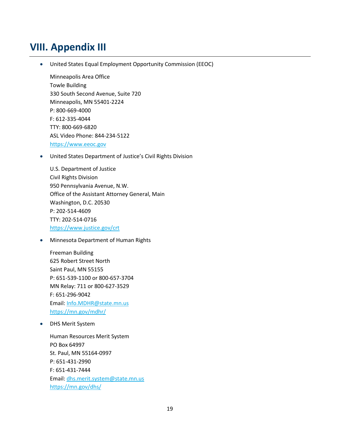## **VIII. Appendix III**

• United States Equal Employment Opportunity Commission (EEOC)

Minneapolis Area Office Towle Building 330 South Second Avenue, Suite 720 Minneapolis, MN 55401-2224 P: 800-669-4000 F: 612-335-4044 TTY: 800-669-6820 ASL Video Phone: 844-234-5122 [https://www.eeoc.gov](https://www.eeoc.gov/)

• United States Department of Justice's Civil Rights Division

U.S. Department of Justice Civil Rights Division 950 Pennsylvania Avenue, N.W. Office of the Assistant Attorney General, Main Washington, D.C. 20530 P: 202-514-4609 TTY: 202-514-0716 <https://www.justice.gov/crt>

• Minnesota Department of Human Rights

Freeman Building 625 Robert Street North Saint Paul, MN 55155 P: 651-539-1100 or 800-657-3704 MN Relay: 711 or 800-627-3529 F: 651-296-9042 Email: [Info.MDHR@state.mn.us](mailto:Info.MDHR@state.mn.us) <https://mn.gov/mdhr/>

• DHS Merit System

Human Resources Merit System PO Box 64997 St. Paul, MN 55164-0997 P: 651-431-2990 F: 651-431-7444 Email: [dhs.merit.system@state.mn.us](mailto:dhs.merit.system@state.mn.us) <https://mn.gov/dhs/>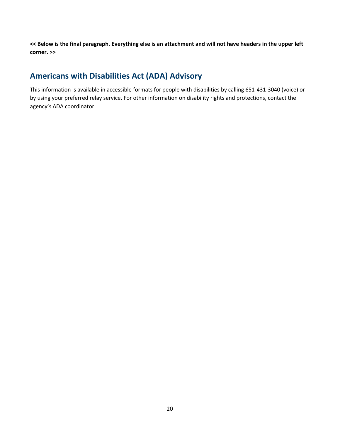**<< Below is the final paragraph. Everything else is an attachment and will not have headers in the upper left corner. >>**

## **Americans with Disabilities Act (ADA) Advisory**

This information is available in accessible formats for people with disabilities by calling 651-431-3040 (voice) or by using your preferred relay service. For other information on disability rights and protections, contact the agency's ADA coordinator.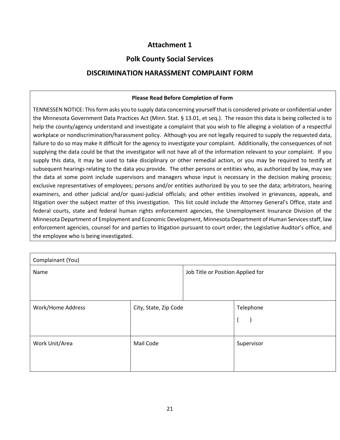### **Attachment 1**

### **Polk County Social Services**

### **DISCRIMINATION HARASSMENT COMPLAINT FORM**

#### **Please Read Before Completion of Form**

TENNESSEN NOTICE: This form asks you to supply data concerning yourself that is considered private or confidential under the Minnesota Government Data Practices Act (Minn. Stat. § 13.01, et seq.). The reason this data is being collected is to help the county/agency understand and investigate a complaint that you wish to file alleging a violation of a respectful workplace or nondiscrimination/harassment policy. Although you are not legally required to supply the requested data, failure to do so may make it difficult for the agency to investigate your complaint. Additionally, the consequences of not supplying the data could be that the investigator will not have all of the information relevant to your complaint. If you supply this data, it may be used to take disciplinary or other remedial action, or you may be required to testify at subsequent hearings relating to the data you provide. The other persons or entities who, as authorized by law, may see the data at some point include supervisors and managers whose input is necessary in the decision making process; exclusive representatives of employees; persons and/or entities authorized by you to see the data; arbitrators, hearing examiners, and other judicial and/or quasi-judicial officials; and other entities involved in grievances, appeals, and litigation over the subject matter of this investigation. This list could include the Attorney General's Office, state and federal courts, state and federal human rights enforcement agencies, the Unemployment Insurance Division of the Minnesota Department of Employment and Economic Development, Minnesota Department of Human Services staff, law enforcement agencies, counsel for and parties to litigation pursuant to court order, the Legislative Auditor's office, and the employee who is being investigated.

| Complainant (You) |                       |                                   |                |  |
|-------------------|-----------------------|-----------------------------------|----------------|--|
| Name              |                       | Job Title or Position Applied for |                |  |
| Work/Home Address | City, State, Zip Code |                                   | Telephone<br>A |  |
| Work Unit/Area    | Mail Code             |                                   | Supervisor     |  |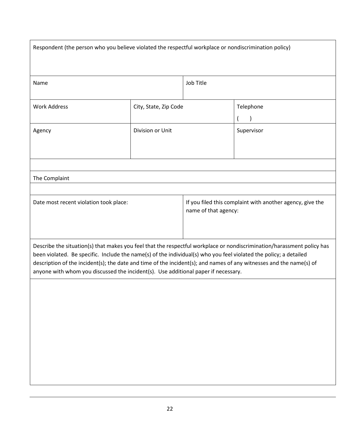| Respondent (the person who you believe violated the respectful workplace or nondiscrimination policy)                                                                                                                                                                                                                                                                                                                                                    |                       |                                                                                   |            |
|----------------------------------------------------------------------------------------------------------------------------------------------------------------------------------------------------------------------------------------------------------------------------------------------------------------------------------------------------------------------------------------------------------------------------------------------------------|-----------------------|-----------------------------------------------------------------------------------|------------|
| Name                                                                                                                                                                                                                                                                                                                                                                                                                                                     |                       | Job Title                                                                         |            |
| <b>Work Address</b>                                                                                                                                                                                                                                                                                                                                                                                                                                      | City, State, Zip Code |                                                                                   | Telephone  |
| Agency                                                                                                                                                                                                                                                                                                                                                                                                                                                   | Division or Unit      |                                                                                   | Supervisor |
|                                                                                                                                                                                                                                                                                                                                                                                                                                                          |                       |                                                                                   |            |
| The Complaint                                                                                                                                                                                                                                                                                                                                                                                                                                            |                       |                                                                                   |            |
|                                                                                                                                                                                                                                                                                                                                                                                                                                                          |                       |                                                                                   |            |
| Date most recent violation took place:                                                                                                                                                                                                                                                                                                                                                                                                                   |                       | If you filed this complaint with another agency, give the<br>name of that agency: |            |
| Describe the situation(s) that makes you feel that the respectful workplace or nondiscrimination/harassment policy has<br>been violated. Be specific. Include the name(s) of the individual(s) who you feel violated the policy; a detailed<br>description of the incident(s); the date and time of the incident(s); and names of any witnesses and the name(s) of<br>anyone with whom you discussed the incident(s). Use additional paper if necessary. |                       |                                                                                   |            |
|                                                                                                                                                                                                                                                                                                                                                                                                                                                          |                       |                                                                                   |            |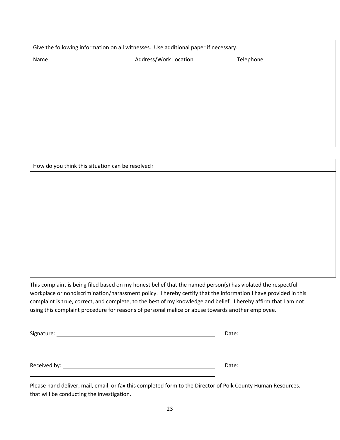| Give the following information on all witnesses. Use additional paper if necessary. |                       |           |  |
|-------------------------------------------------------------------------------------|-----------------------|-----------|--|
| Name                                                                                | Address/Work Location | Telephone |  |
|                                                                                     |                       |           |  |
|                                                                                     |                       |           |  |
|                                                                                     |                       |           |  |
|                                                                                     |                       |           |  |
|                                                                                     |                       |           |  |
|                                                                                     |                       |           |  |
|                                                                                     |                       |           |  |

| How do you think this situation can be resolved? |  |  |
|--------------------------------------------------|--|--|
|                                                  |  |  |
|                                                  |  |  |
|                                                  |  |  |
|                                                  |  |  |
|                                                  |  |  |
|                                                  |  |  |
|                                                  |  |  |
|                                                  |  |  |
|                                                  |  |  |

This complaint is being filed based on my honest belief that the named person(s) has violated the respectful workplace or nondiscrimination/harassment policy. I hereby certify that the information I have provided in this complaint is true, correct, and complete, to the best of my knowledge and belief. I hereby affirm that I am not using this complaint procedure for reasons of personal malice or abuse towards another employee.

|                 | Date: |
|-----------------|-------|
|                 |       |
|                 |       |
|                 |       |
| Received by: __ | Date: |

Please hand deliver, mail, email, or fax this completed form to the Director of Polk County Human Resources. that will be conducting the investigation.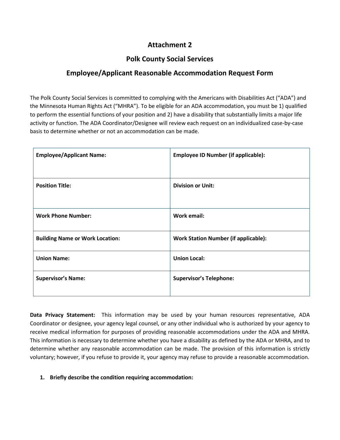### **Attachment 2**

### **Polk County Social Services**

### **Employee/Applicant Reasonable Accommodation Request Form**

The Polk County Social Services is committed to complying with the Americans with Disabilities Act ("ADA") and the Minnesota Human Rights Act ("MHRA"). To be eligible for an ADA accommodation, you must be 1) qualified to perform the essential functions of your position and 2) have a disability that substantially limits a major life activity or function. The ADA Coordinator/Designee will review each request on an individualized case-by-case basis to determine whether or not an accommodation can be made.

| <b>Employee/Applicant Name:</b>        | <b>Employee ID Number (if applicable):</b>  |
|----------------------------------------|---------------------------------------------|
| <b>Position Title:</b>                 | <b>Division or Unit:</b>                    |
| <b>Work Phone Number:</b>              | Work email:                                 |
| <b>Building Name or Work Location:</b> | <b>Work Station Number (if applicable):</b> |
| <b>Union Name:</b>                     | <b>Union Local:</b>                         |
| <b>Supervisor's Name:</b>              | <b>Supervisor's Telephone:</b>              |

**Data Privacy Statement:** This information may be used by your human resources representative, ADA Coordinator or designee, your agency legal counsel, or any other individual who is authorized by your agency to receive medical information for purposes of providing reasonable accommodations under the ADA and MHRA. This information is necessary to determine whether you have a disability as defined by the ADA or MHRA, and to determine whether any reasonable accommodation can be made. The provision of this information is strictly voluntary; however, if you refuse to provide it, your agency may refuse to provide a reasonable accommodation.

#### **1. Briefly describe the condition requiring accommodation:**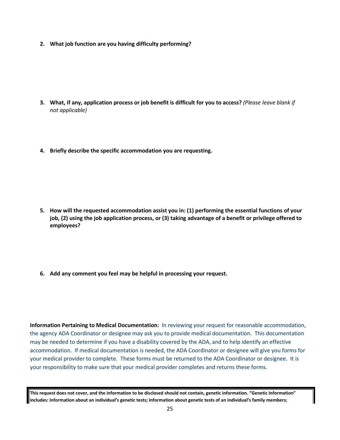**2. What job function are you having difficulty performing?**

- **3. What, if any, application process or job benefit is difficult for you to access?** *(Please leave blank if not applicable)*
- **4. Briefly describe the specific accommodation you are requesting.**

- **5. How will the requested accommodation assist you in: (1) performing the essential functions of your job, (2) using the job application process, or (3) taking advantage of a benefit or privilege offered to employees?**
- **6. Add any comment you feel may be helpful in processing your request.**

**Information Pertaining to Medical Documentation:** In reviewing your request for reasonable accommodation, the agency ADA Coordinator or designee may ask you to provide medical documentation. This documentation may be needed to determine if you have a disability covered by the ADA, and to help identify an effective accommodation. If medical documentation is needed, the ADA Coordinator or designee will give you forms for your medical provider to complete. These forms must be returned to the ADA Coordinator or designee. It is your responsibility to make sure that your medical provider completes and returns these forms.

**This request does not cover, and the information to be disclosed should not contain, genetic information. "Genetic Information" includes: Information about an individual's genetic tests; information about genetic tests of an individual's family members;**